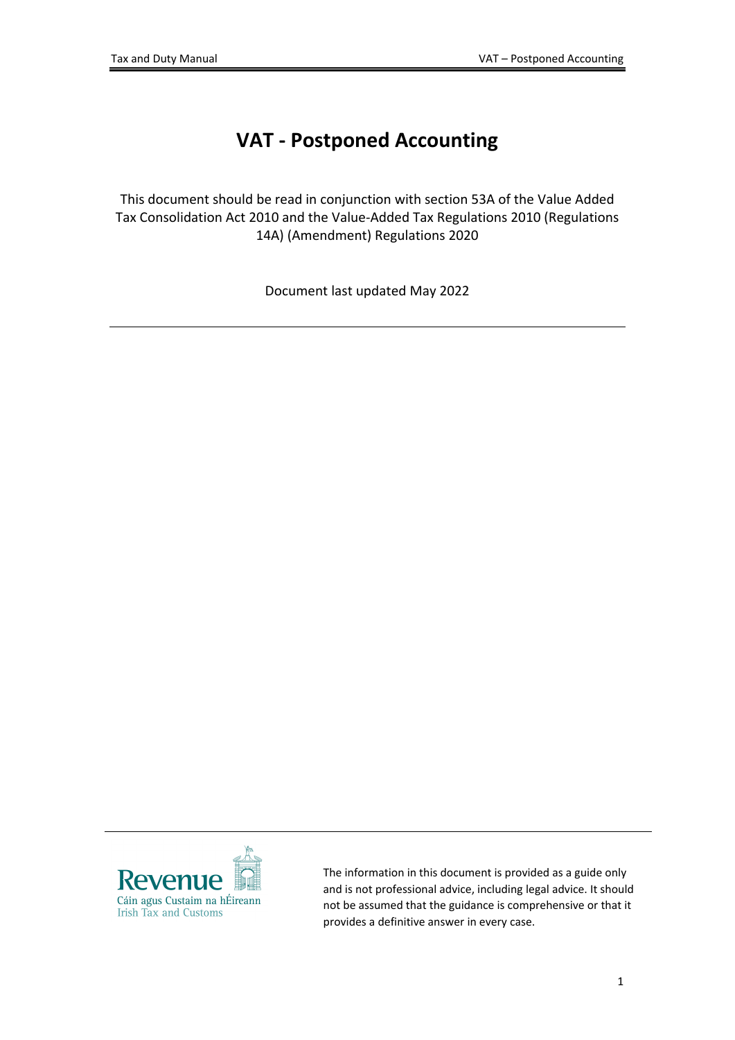# **VAT - Postponed Accounting**

This document should be read in conjunction with section 53A of the Value Added Tax Consolidation Act 2010 and the Value-Added Tax Regulations 2010 (Regulations 14A) (Amendment) Regulations 2020

Document last updated May 2022



The information in this document is provided as a guide only and is not professional advice, including legal advice. It should not be assumed that the guidance is comprehensive or that it provides a definitive answer in every case.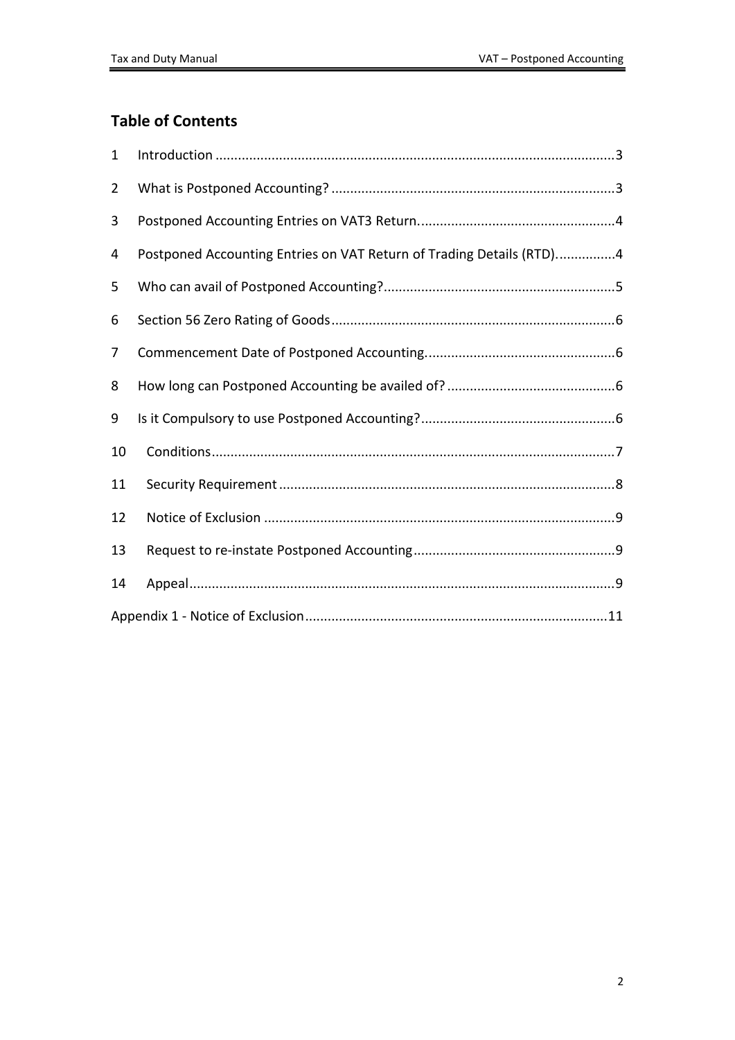#### **Table of Contents**

| $\mathbf{1}$   |                                                                      |
|----------------|----------------------------------------------------------------------|
| $\overline{2}$ |                                                                      |
| 3              |                                                                      |
| 4              | Postponed Accounting Entries on VAT Return of Trading Details (RTD)4 |
| 5              |                                                                      |
| 6              |                                                                      |
| 7              |                                                                      |
| 8              |                                                                      |
| 9              |                                                                      |
| 10             |                                                                      |
| 11             |                                                                      |
| 12             |                                                                      |
| 13             |                                                                      |
| 14             |                                                                      |
|                |                                                                      |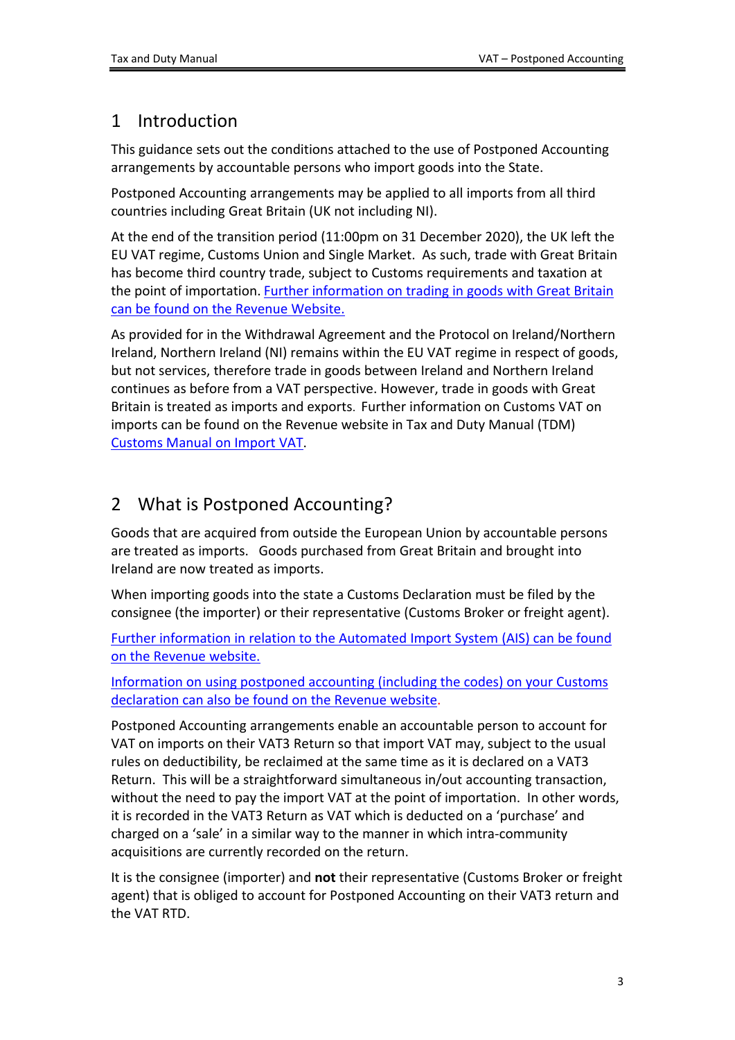## <span id="page-2-0"></span>1 Introduction

This guidance sets out the conditions attached to the use of Postponed Accounting arrangements by accountable persons who import goods into the State.

Postponed Accounting arrangements may be applied to all imports from all third countries including Great Britain (UK not including NI).

At the end of the transition period (11:00pm on 31 December 2020), the UK left the EU VAT regime, Customs Union and Single Market. As such, trade with Great Britain has become third country trade, subject to Customs requirements and taxation at the point of importation. [Further](https://www.revenue.ie/en/customs-traders-and-agents/brexit/index.aspx) [information](https://www.revenue.ie/en/customs-traders-and-agents/brexit/index.aspx) [on](https://www.revenue.ie/en/customs-traders-and-agents/brexit/index.aspx) [trading](https://www.revenue.ie/en/customs-traders-and-agents/brexit/index.aspx) [in](https://www.revenue.ie/en/customs-traders-and-agents/brexit/index.aspx) [goods](https://www.revenue.ie/en/customs-traders-and-agents/brexit/index.aspx) [with](https://www.revenue.ie/en/customs-traders-and-agents/brexit/index.aspx) [Great](https://www.revenue.ie/en/customs-traders-and-agents/brexit/index.aspx) [Britain](https://www.revenue.ie/en/customs-traders-and-agents/brexit/index.aspx) [can](https://www.revenue.ie/en/customs-traders-and-agents/brexit/index.aspx) [be](https://www.revenue.ie/en/customs-traders-and-agents/brexit/index.aspx) [found](https://www.revenue.ie/en/customs-traders-and-agents/brexit/index.aspx) [on](https://www.revenue.ie/en/customs-traders-and-agents/brexit/index.aspx) [the](https://www.revenue.ie/en/customs-traders-and-agents/brexit/index.aspx) [Revenue](https://www.revenue.ie/en/customs-traders-and-agents/brexit/index.aspx) [Website.](https://www.revenue.ie/en/customs-traders-and-agents/brexit/index.aspx)

As provided for in the Withdrawal Agreement and the Protocol on Ireland/Northern Ireland, Northern Ireland (NI) remains within the EU VAT regime in respect of goods, but not services, therefore trade in goods between Ireland and Northern Ireland continues as before from a VAT perspective. However, trade in goods with Great Britain is treated as imports and exports. Further information on Customs VAT on imports can be found on the Revenue website in Tax and Duty Manual (TDM) [Customs](https://www.revenue.ie/en/tax-professionals/tdm/customs/import-export-policy/customs-manual-on-import-vat.pdf) [Manual](https://www.revenue.ie/en/tax-professionals/tdm/customs/import-export-policy/customs-manual-on-import-vat.pdf) [on](https://www.revenue.ie/en/tax-professionals/tdm/customs/import-export-policy/customs-manual-on-import-vat.pdf) [Import](https://www.revenue.ie/en/tax-professionals/tdm/customs/import-export-policy/customs-manual-on-import-vat.pdf) [VAT.](https://www.revenue.ie/en/tax-professionals/tdm/customs/import-export-policy/customs-manual-on-import-vat.pdf)

# <span id="page-2-1"></span>2 What is Postponed Accounting?

Goods that are acquired from outside the European Union by accountable persons are treated as imports. Goods purchased from Great Britain and brought into Ireland are now treated as imports.

When importing goods into the state a Customs Declaration must be filed by the consignee (the importer) or their representative (Customs Broker or freight agent).

[Further](https://www.revenue.ie/en/customs-traders-and-agents/customs-electronic-systems/ais/what-is-ais/index.aspx) [information](https://www.revenue.ie/en/customs-traders-and-agents/customs-electronic-systems/ais/what-is-ais/index.aspx) [in](https://www.revenue.ie/en/customs-traders-and-agents/customs-electronic-systems/ais/what-is-ais/index.aspx) [relation](https://www.revenue.ie/en/customs-traders-and-agents/customs-electronic-systems/ais/what-is-ais/index.aspx) [to](https://www.revenue.ie/en/customs-traders-and-agents/customs-electronic-systems/ais/what-is-ais/index.aspx) [the](https://www.revenue.ie/en/customs-traders-and-agents/customs-electronic-systems/ais/what-is-ais/index.aspx) [Automated](https://www.revenue.ie/en/customs-traders-and-agents/customs-electronic-systems/ais/what-is-ais/index.aspx) [Import](https://www.revenue.ie/en/customs-traders-and-agents/customs-electronic-systems/ais/what-is-ais/index.aspx) [System](https://www.revenue.ie/en/customs-traders-and-agents/customs-electronic-systems/ais/what-is-ais/index.aspx) [\(AIS\)](https://www.revenue.ie/en/customs-traders-and-agents/customs-electronic-systems/ais/what-is-ais/index.aspx) [can](https://www.revenue.ie/en/customs-traders-and-agents/customs-electronic-systems/ais/what-is-ais/index.aspx) [be](https://www.revenue.ie/en/customs-traders-and-agents/customs-electronic-systems/ais/what-is-ais/index.aspx) [found](https://www.revenue.ie/en/customs-traders-and-agents/customs-electronic-systems/ais/what-is-ais/index.aspx) [on](https://www.revenue.ie/en/customs-traders-and-agents/customs-electronic-systems/ais/what-is-ais/index.aspx) [the](https://www.revenue.ie/en/customs-traders-and-agents/customs-electronic-systems/ais/what-is-ais/index.aspx) [Revenue](https://www.revenue.ie/en/customs-traders-and-agents/customs-electronic-systems/ais/what-is-ais/index.aspx) [website.](https://www.revenue.ie/en/customs-traders-and-agents/customs-electronic-systems/ais/what-is-ais/index.aspx)

[Information](https://www.revenue.ie/en/customs-traders-and-agents/customs-electronic-systems/aep/ecustoms-notifications/2021/eCustoms-Notification-45-2021.pdf) [on](https://www.revenue.ie/en/customs-traders-and-agents/customs-electronic-systems/aep/ecustoms-notifications/2021/eCustoms-Notification-45-2021.pdf) [using](https://www.revenue.ie/en/customs-traders-and-agents/customs-electronic-systems/aep/ecustoms-notifications/2021/eCustoms-Notification-45-2021.pdf) [postponed](https://www.revenue.ie/en/customs-traders-and-agents/customs-electronic-systems/aep/ecustoms-notifications/2021/eCustoms-Notification-45-2021.pdf) [accounting](https://www.revenue.ie/en/customs-traders-and-agents/customs-electronic-systems/aep/ecustoms-notifications/2021/eCustoms-Notification-45-2021.pdf) [\(including](https://www.revenue.ie/en/customs-traders-and-agents/customs-electronic-systems/aep/ecustoms-notifications/2021/eCustoms-Notification-45-2021.pdf) [the](https://www.revenue.ie/en/customs-traders-and-agents/customs-electronic-systems/aep/ecustoms-notifications/2021/eCustoms-Notification-45-2021.pdf) [codes\)](https://www.revenue.ie/en/customs-traders-and-agents/customs-electronic-systems/aep/ecustoms-notifications/2021/eCustoms-Notification-45-2021.pdf) [on](https://www.revenue.ie/en/customs-traders-and-agents/customs-electronic-systems/aep/ecustoms-notifications/2021/eCustoms-Notification-45-2021.pdf) [your](https://www.revenue.ie/en/customs-traders-and-agents/customs-electronic-systems/aep/ecustoms-notifications/2021/eCustoms-Notification-45-2021.pdf) [Customs](https://www.revenue.ie/en/customs-traders-and-agents/customs-electronic-systems/aep/ecustoms-notifications/2021/eCustoms-Notification-45-2021.pdf) [declaration](https://www.revenue.ie/en/customs-traders-and-agents/customs-electronic-systems/aep/ecustoms-notifications/2021/eCustoms-Notification-45-2021.pdf) [can](https://www.revenue.ie/en/customs-traders-and-agents/customs-electronic-systems/aep/ecustoms-notifications/2021/eCustoms-Notification-45-2021.pdf) [also](https://www.revenue.ie/en/customs-traders-and-agents/customs-electronic-systems/aep/ecustoms-notifications/2021/eCustoms-Notification-45-2021.pdf) [be](https://www.revenue.ie/en/customs-traders-and-agents/customs-electronic-systems/aep/ecustoms-notifications/2021/eCustoms-Notification-45-2021.pdf) [found](https://www.revenue.ie/en/customs-traders-and-agents/customs-electronic-systems/aep/ecustoms-notifications/2021/eCustoms-Notification-45-2021.pdf) [on](https://www.revenue.ie/en/customs-traders-and-agents/customs-electronic-systems/aep/ecustoms-notifications/2021/eCustoms-Notification-45-2021.pdf) [the](https://www.revenue.ie/en/customs-traders-and-agents/customs-electronic-systems/aep/ecustoms-notifications/2021/eCustoms-Notification-45-2021.pdf) [Revenue](https://www.revenue.ie/en/customs-traders-and-agents/customs-electronic-systems/aep/ecustoms-notifications/2021/eCustoms-Notification-45-2021.pdf) [website](https://www.revenue.ie/en/customs-traders-and-agents/customs-electronic-systems/aep/ecustoms-notifications/2021/eCustoms-Notification-45-2021.pdf).

Postponed Accounting arrangements enable an accountable person to account for VAT on imports on their VAT3 Return so that import VAT may, subject to the usual rules on deductibility, be reclaimed at the same time as it is declared on a VAT3 Return. This will be a straightforward simultaneous in/out accounting transaction, without the need to pay the import VAT at the point of importation. In other words, it is recorded in the VAT3 Return as VAT which is deducted on a 'purchase' and charged on a 'sale' in a similar way to the manner in which intra-community acquisitions are currently recorded on the return.

It is the consignee (importer) and **not** their representative (Customs Broker or freight agent) that is obliged to account for Postponed Accounting on their VAT3 return and the VAT RTD.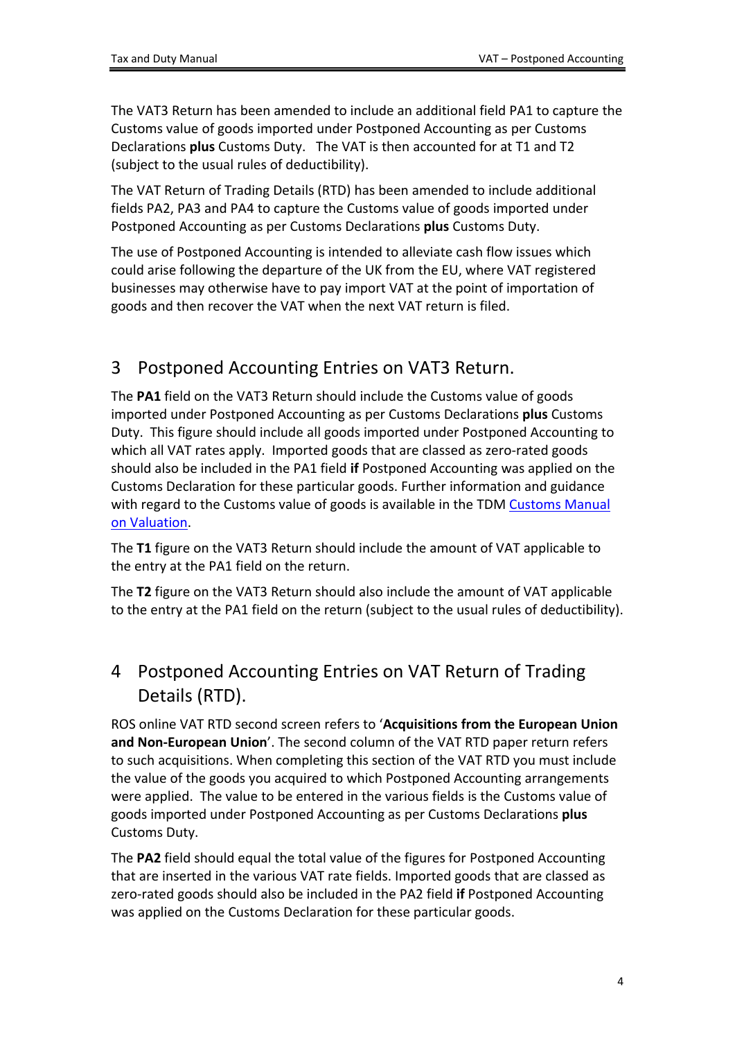The VAT3 Return has been amended to include an additional field PA1 to capture the Customs value of goods imported under Postponed Accounting as per Customs Declarations **plus** Customs Duty. The VAT is then accounted for at T1 and T2 (subject to the usual rules of deductibility).

The VAT Return of Trading Details (RTD) has been amended to include additional fields PA2, PA3 and PA4 to capture the Customs value of goods imported under Postponed Accounting as per Customs Declarations **plus** Customs Duty.

The use of Postponed Accounting is intended to alleviate cash flow issues which could arise following the departure of the UK from the EU, where VAT registered businesses may otherwise have to pay import VAT at the point of importation of goods and then recover the VAT when the next VAT return is filed.

## <span id="page-3-0"></span>3 Postponed Accounting Entries on VAT3 Return.

The **PA1** field on the VAT3 Return should include the Customs value of goods imported under Postponed Accounting as per Customs Declarations **plus** Customs Duty. This figure should include all goods imported under Postponed Accounting to which all VAT rates apply. Imported goods that are classed as zero-rated goods should also be included in the PA1 field **if** Postponed Accounting was applied on the Customs Declaration for these particular goods. Further information and guidance with regard to the [Customs](https://www.revenue.ie/en/tax-professionals/tdm/customs/valuation/valuation.pdf) value of goods is available in the TDM Customs [Manual](https://www.revenue.ie/en/tax-professionals/tdm/customs/valuation/valuation.pdf) [on](https://www.revenue.ie/en/tax-professionals/tdm/customs/valuation/valuation.pdf) [Valuation](https://www.revenue.ie/en/tax-professionals/tdm/customs/valuation/valuation.pdf).

The **T1** figure on the VAT3 Return should include the amount of VAT applicable to the entry at the PA1 field on the return.

The **T2** figure on the VAT3 Return should also include the amount of VAT applicable to the entry at the PA1 field on the return (subject to the usual rules of deductibility).

## <span id="page-3-1"></span>4 Postponed Accounting Entries on VAT Return of Trading Details (RTD).

ROS online VAT RTD second screen refers to '**Acquisitions from the European Union and Non-European Union**'. The second column of the VAT RTD paper return refers to such acquisitions. When completing this section of the VAT RTD you must include the value of the goods you acquired to which Postponed Accounting arrangements were applied. The value to be entered in the various fields is the Customs value of goods imported under Postponed Accounting as per Customs Declarations **plus** Customs Duty.

The **PA2** field should equal the total value of the figures for Postponed Accounting that are inserted in the various VAT rate fields. Imported goods that are classed as zero-rated goods should also be included in the PA2 field **if** Postponed Accounting was applied on the Customs Declaration for these particular goods.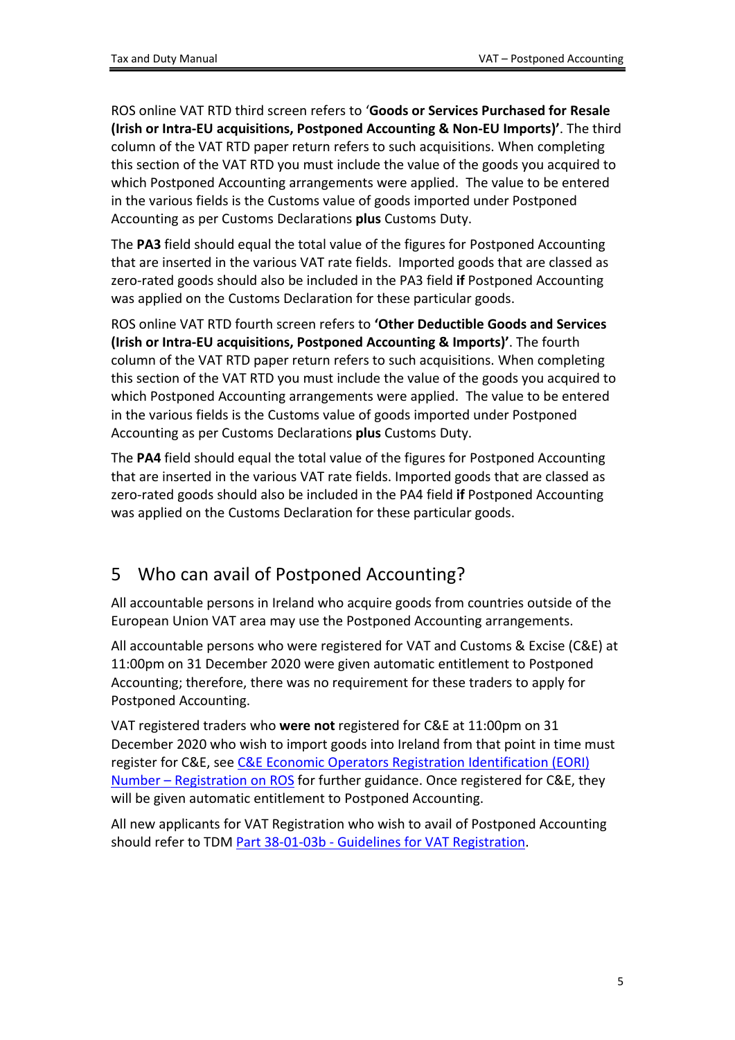ROS online VAT RTD third screen refers to '**Goods or Services Purchased for Resale (Irish or Intra-EU acquisitions, Postponed Accounting & Non-EU Imports)'**. The third column of the VAT RTD paper return refers to such acquisitions. When completing this section of the VAT RTD you must include the value of the goods you acquired to which Postponed Accounting arrangements were applied. The value to be entered in the various fields is the Customs value of goods imported under Postponed Accounting as per Customs Declarations **plus** Customs Duty.

The **PA3** field should equal the total value of the figures for Postponed Accounting that are inserted in the various VAT rate fields. Imported goods that are classed as zero-rated goods should also be included in the PA3 field **if** Postponed Accounting was applied on the Customs Declaration for these particular goods.

ROS online VAT RTD fourth screen refers to **'Other Deductible Goods and Services (Irish or Intra-EU acquisitions, Postponed Accounting & Imports)'**. The fourth column of the VAT RTD paper return refers to such acquisitions. When completing this section of the VAT RTD you must include the value of the goods you acquired to which Postponed Accounting arrangements were applied. The value to be entered in the various fields is the Customs value of goods imported under Postponed Accounting as per Customs Declarations **plus** Customs Duty.

The **PA4** field should equal the total value of the figures for Postponed Accounting that are inserted in the various VAT rate fields. Imported goods that are classed as zero-rated goods should also be included in the PA4 field **if** Postponed Accounting was applied on the Customs Declaration for these particular goods.

# <span id="page-4-0"></span>5 Who can avail of Postponed Accounting?

All accountable persons in Ireland who acquire goods from countries outside of the European Union VAT area may use the Postponed Accounting arrangements.

All accountable persons who were registered for VAT and Customs & Excise (C&E) at 11:00pm on 31 December 2020 were given automatic entitlement to Postponed Accounting; therefore, there was no requirement for these traders to apply for Postponed Accounting.

VAT registered traders who **were not** registered for C&E at 11:00pm on 31 December 2020 who wish to import goods into Ireland from that point in time must register for C&E, see [C&E](https://www.revenue.ie/en/customs-traders-and-agents/documents/electronic/ereg-eori-guide.pdf) [Economic](https://www.revenue.ie/en/customs-traders-and-agents/documents/electronic/ereg-eori-guide.pdf) [Operators](https://www.revenue.ie/en/customs-traders-and-agents/documents/electronic/ereg-eori-guide.pdf) [Registration](https://www.revenue.ie/en/customs-traders-and-agents/documents/electronic/ereg-eori-guide.pdf) [Identification](https://www.revenue.ie/en/customs-traders-and-agents/documents/electronic/ereg-eori-guide.pdf) [\(EORI\)](https://www.revenue.ie/en/customs-traders-and-agents/documents/electronic/ereg-eori-guide.pdf) [Number](https://www.revenue.ie/en/customs-traders-and-agents/documents/electronic/ereg-eori-guide.pdf) [–](https://www.revenue.ie/en/customs-traders-and-agents/documents/electronic/ereg-eori-guide.pdf) [Registration](https://www.revenue.ie/en/customs-traders-and-agents/documents/electronic/ereg-eori-guide.pdf) [on](https://www.revenue.ie/en/customs-traders-and-agents/documents/electronic/ereg-eori-guide.pdf) [ROS](https://www.revenue.ie/en/customs-traders-and-agents/documents/electronic/ereg-eori-guide.pdf) for further guidance. Once registered for C&E, they will be given automatic entitlement to Postponed Accounting.

All new applicants for VAT Registration who wish to avail of Postponed Accounting should refer to TDM [Part](https://www.revenue.ie/en/tax-professionals/tdm/income-tax-capital-gains-tax-corporation-tax/part-38/38-01-03b.pdf) [38-01-03b](https://www.revenue.ie/en/tax-professionals/tdm/income-tax-capital-gains-tax-corporation-tax/part-38/38-01-03b.pdf) [-](https://www.revenue.ie/en/tax-professionals/tdm/income-tax-capital-gains-tax-corporation-tax/part-38/38-01-03b.pdf) [Guidelines](https://www.revenue.ie/en/tax-professionals/tdm/income-tax-capital-gains-tax-corporation-tax/part-38/38-01-03b.pdf) [for](https://www.revenue.ie/en/tax-professionals/tdm/income-tax-capital-gains-tax-corporation-tax/part-38/38-01-03b.pdf) [VAT](https://www.revenue.ie/en/tax-professionals/tdm/income-tax-capital-gains-tax-corporation-tax/part-38/38-01-03b.pdf) [Registration.](https://www.revenue.ie/en/tax-professionals/tdm/income-tax-capital-gains-tax-corporation-tax/part-38/38-01-03b.pdf)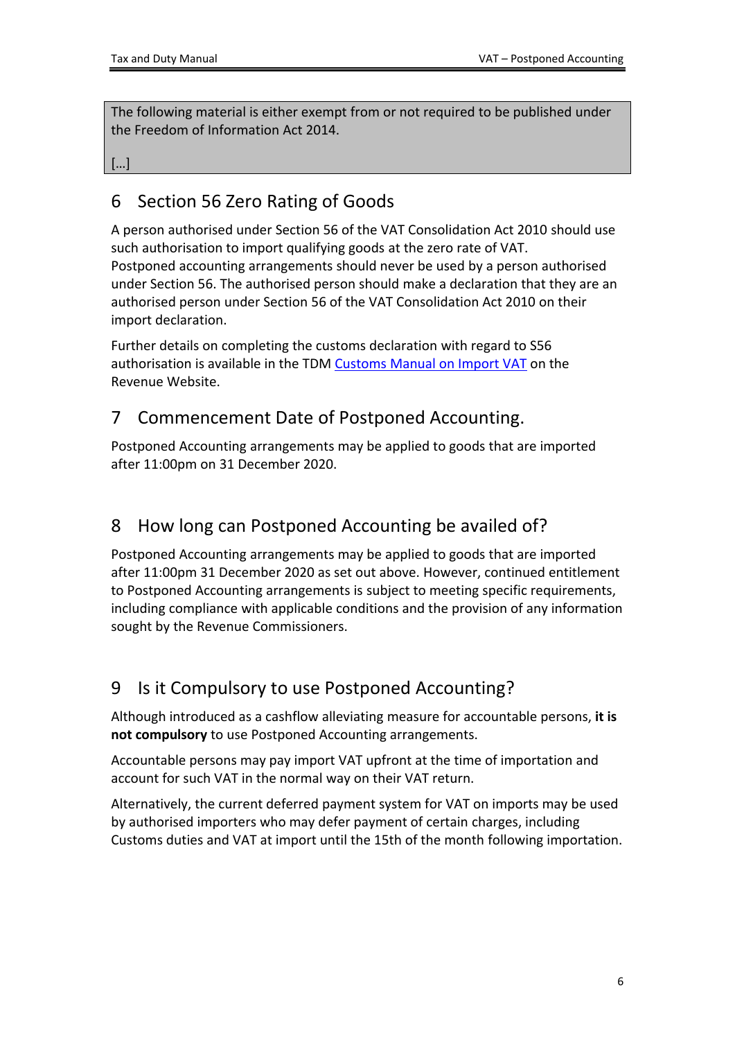[…]

## <span id="page-5-0"></span>6 Section 56 Zero Rating of Goods

A person authorised under Section 56 of the VAT Consolidation Act 2010 should use such authorisation to import qualifying goods at the zero rate of VAT. Postponed accounting arrangements should never be used by a person authorised under Section 56. The authorised person should make a declaration that they are an authorised person under Section 56 of the VAT Consolidation Act 2010 on their import declaration.

[Further](https://www.revenue.ie/en/tax-professionals/tdm/customs/import-export-policy/customs-manual-on-import-vat.pdf) [details](https://www.revenue.ie/en/tax-professionals/tdm/customs/import-export-policy/customs-manual-on-import-vat.pdf) [on](https://www.revenue.ie/en/tax-professionals/tdm/customs/import-export-policy/customs-manual-on-import-vat.pdf) [completing](https://www.revenue.ie/en/tax-professionals/tdm/customs/import-export-policy/customs-manual-on-import-vat.pdf) [the](https://www.revenue.ie/en/tax-professionals/tdm/customs/import-export-policy/customs-manual-on-import-vat.pdf) [customs](https://www.revenue.ie/en/tax-professionals/tdm/customs/import-export-policy/customs-manual-on-import-vat.pdf) [declaration](https://www.revenue.ie/en/tax-professionals/tdm/customs/import-export-policy/customs-manual-on-import-vat.pdf) [with](https://www.revenue.ie/en/tax-professionals/tdm/customs/import-export-policy/customs-manual-on-import-vat.pdf) [regard](https://www.revenue.ie/en/tax-professionals/tdm/customs/import-export-policy/customs-manual-on-import-vat.pdf) [to](https://www.revenue.ie/en/tax-professionals/tdm/customs/import-export-policy/customs-manual-on-import-vat.pdf) [S56](https://www.revenue.ie/en/tax-professionals/tdm/customs/import-export-policy/customs-manual-on-import-vat.pdf) [authorisation](https://www.revenue.ie/en/tax-professionals/tdm/customs/import-export-policy/customs-manual-on-import-vat.pdf) [is](https://www.revenue.ie/en/tax-professionals/tdm/customs/import-export-policy/customs-manual-on-import-vat.pdf) [available](https://www.revenue.ie/en/tax-professionals/tdm/customs/import-export-policy/customs-manual-on-import-vat.pdf) [in](https://www.revenue.ie/en/tax-professionals/tdm/customs/import-export-policy/customs-manual-on-import-vat.pdf) [the](https://www.revenue.ie/en/tax-professionals/tdm/customs/import-export-policy/customs-manual-on-import-vat.pdf) [TDM](https://www.revenue.ie/en/tax-professionals/tdm/customs/import-export-policy/customs-manual-on-import-vat.pdf) [Customs](https://www.revenue.ie/en/tax-professionals/tdm/customs/import-export-policy/customs-manual-on-import-vat.pdf) [Manual](https://www.revenue.ie/en/tax-professionals/tdm/customs/import-export-policy/customs-manual-on-import-vat.pdf) [on](https://www.revenue.ie/en/tax-professionals/tdm/customs/import-export-policy/customs-manual-on-import-vat.pdf) [Import](https://www.revenue.ie/en/tax-professionals/tdm/customs/import-export-policy/customs-manual-on-import-vat.pdf) [VAT](https://www.revenue.ie/en/tax-professionals/tdm/customs/import-export-policy/customs-manual-on-import-vat.pdf) [on](https://www.revenue.ie/en/tax-professionals/tdm/customs/import-export-policy/customs-manual-on-import-vat.pdf) [the](https://www.revenue.ie/en/tax-professionals/tdm/customs/import-export-policy/customs-manual-on-import-vat.pdf) [Revenue](https://www.revenue.ie/en/tax-professionals/tdm/customs/import-export-policy/customs-manual-on-import-vat.pdf) [Website.](https://www.revenue.ie/en/tax-professionals/tdm/customs/import-export-policy/customs-manual-on-import-vat.pdf)

## <span id="page-5-1"></span>7 Commencement Date of Postponed Accounting.

Postponed Accounting arrangements may be applied to goods that are imported after 11:00pm on 31 December 2020.

## <span id="page-5-2"></span>8 How long can Postponed Accounting be availed of?

Postponed Accounting arrangements may be applied to goods that are imported after 11:00pm 31 December 2020 as set out above. However, continued entitlement to Postponed Accounting arrangements is subject to meeting specific requirements, including compliance with applicable conditions and the provision of any information sought by the Revenue Commissioners.

# <span id="page-5-3"></span>9 Is it Compulsory to use Postponed Accounting?

Although introduced as a cashflow alleviating measure for accountable persons, **it is not compulsory** to use Postponed Accounting arrangements.

Accountable persons may pay import VAT upfront at the time of importation and account for such VAT in the normal way on their VAT return.

Alternatively, the current deferred payment system for VAT on imports may be used by authorised importers who may defer payment of certain charges, including Customs duties and VAT at import until the 15th of the month following importation.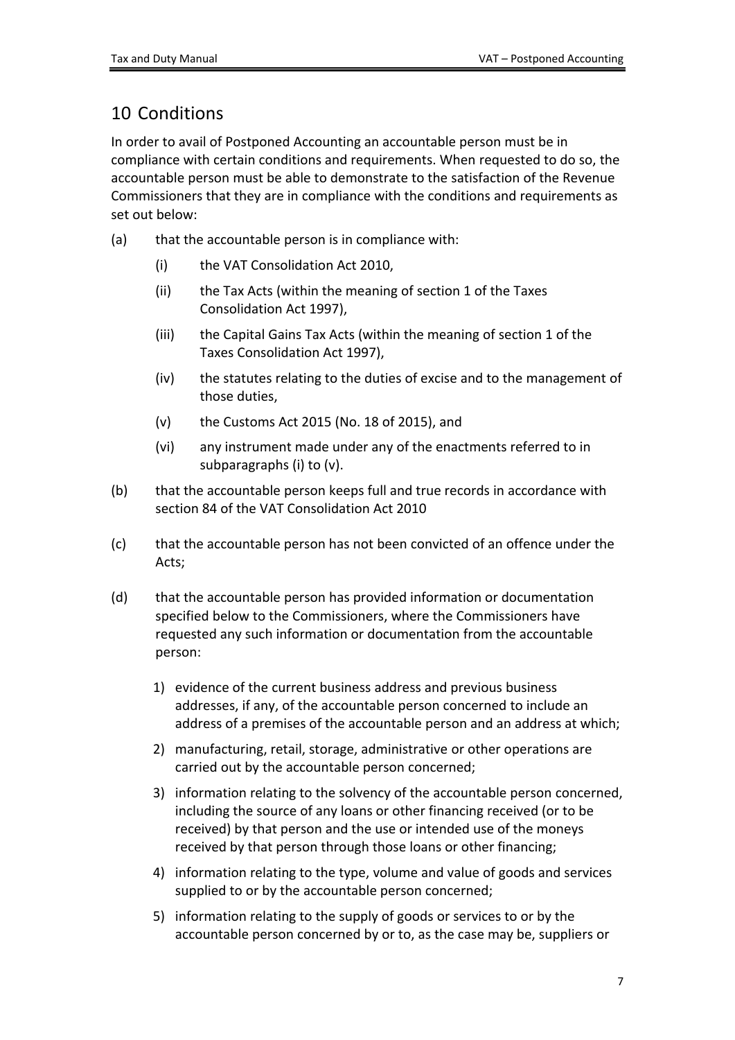## <span id="page-6-0"></span>10 Conditions

In order to avail of Postponed Accounting an accountable person must be in compliance with certain conditions and requirements. When requested to do so, the accountable person must be able to demonstrate to the satisfaction of the Revenue Commissioners that they are in compliance with the conditions and requirements as set out below:

- (a) that the accountable person is in compliance with:
	- (i) the VAT Consolidation Act 2010,
	- (ii) the Tax Acts (within the meaning of section 1 of the Taxes Consolidation Act 1997),
	- (iii) the Capital Gains Tax Acts (within the meaning of section 1 of the Taxes Consolidation Act 1997),
	- (iv) the statutes relating to the duties of excise and to the management of those duties,
	- (v) the Customs Act 2015 (No. 18 of 2015), and
	- (vi) any instrument made under any of the enactments referred to in subparagraphs (i) to (v).
- (b) that the accountable person keeps full and true records in accordance with section 84 of the VAT Consolidation Act 2010
- (c) that the accountable person has not been convicted of an offence under the Acts;
- (d) that the accountable person has provided information or documentation specified below to the Commissioners, where the Commissioners have requested any such information or documentation from the accountable person:
	- 1) evidence of the current business address and previous business addresses, if any, of the accountable person concerned to include an address of a premises of the accountable person and an address at which;
	- 2) manufacturing, retail, storage, administrative or other operations are carried out by the accountable person concerned;
	- 3) information relating to the solvency of the accountable person concerned, including the source of any loans or other financing received (or to be received) by that person and the use or intended use of the moneys received by that person through those loans or other financing;
	- 4) information relating to the type, volume and value of goods and services supplied to or by the accountable person concerned;
	- 5) information relating to the supply of goods or services to or by the accountable person concerned by or to, as the case may be, suppliers or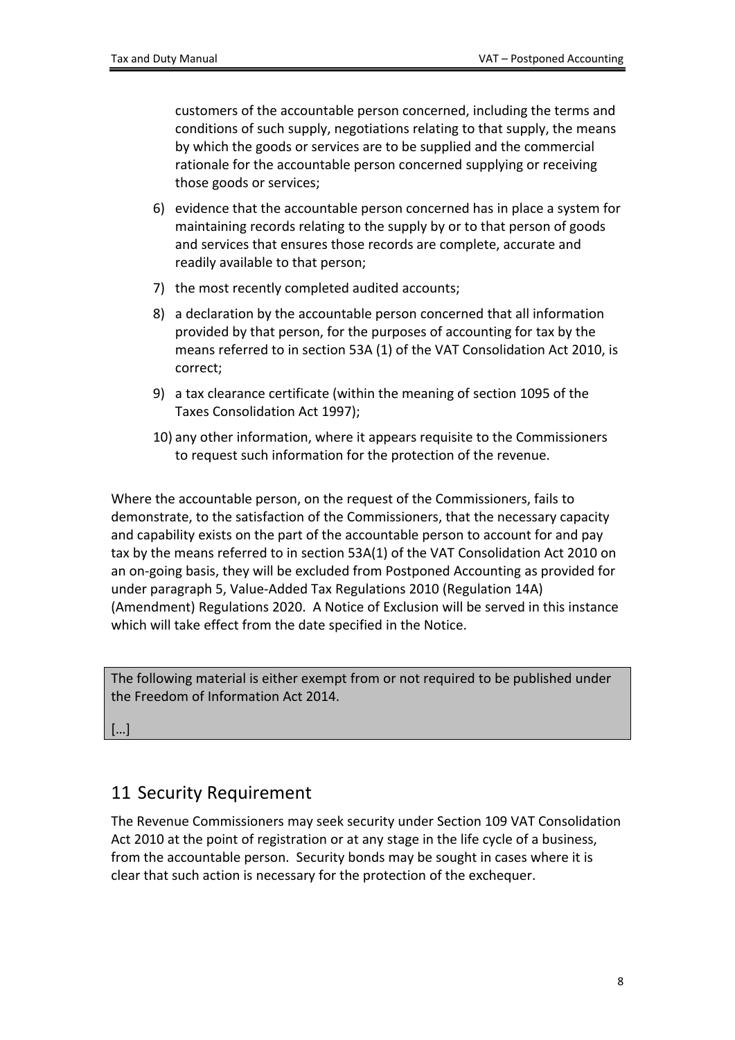customers of the accountable person concerned, including the terms and conditions of such supply, negotiations relating to that supply, the means by which the goods or services are to be supplied and the commercial rationale for the accountable person concerned supplying or receiving those goods or services;

- 6) evidence that the accountable person concerned has in place a system for maintaining records relating to the supply by or to that person of goods and services that ensures those records are complete, accurate and readily available to that person;
- 7) the most recently completed audited accounts;
- 8) a declaration by the accountable person concerned that all information provided by that person, for the purposes of accounting for tax by the means referred to in section 53A (1) of the VAT Consolidation Act 2010, is correct;
- 9) a tax clearance certificate (within the meaning of section 1095 of the Taxes Consolidation Act 1997);
- 10) any other information, where it appears requisite to the Commissioners to request such information for the protection of the revenue.

Where the accountable person, on the request of the Commissioners, fails to demonstrate, to the satisfaction of the Commissioners, that the necessary capacity and capability exists on the part of the accountable person to account for and pay tax by the means referred to in section 53A(1) of the VAT Consolidation Act 2010 on an on-going basis, they will be excluded from Postponed Accounting as provided for under paragraph 5, Value-Added Tax Regulations 2010 (Regulation 14A) (Amendment) Regulations 2020. A Notice of Exclusion will be served in this instance which will take effect from the date specified in the Notice.

The following material is either exempt from or not required to be published under the Freedom of Information Act 2014.

[…]

#### <span id="page-7-0"></span>11 Security Requirement

The Revenue Commissioners may seek security under Section 109 VAT Consolidation Act 2010 at the point of registration or at any stage in the life cycle of a business, from the accountable person. Security bonds may be sought in cases where it is clear that such action is necessary for the protection of the exchequer.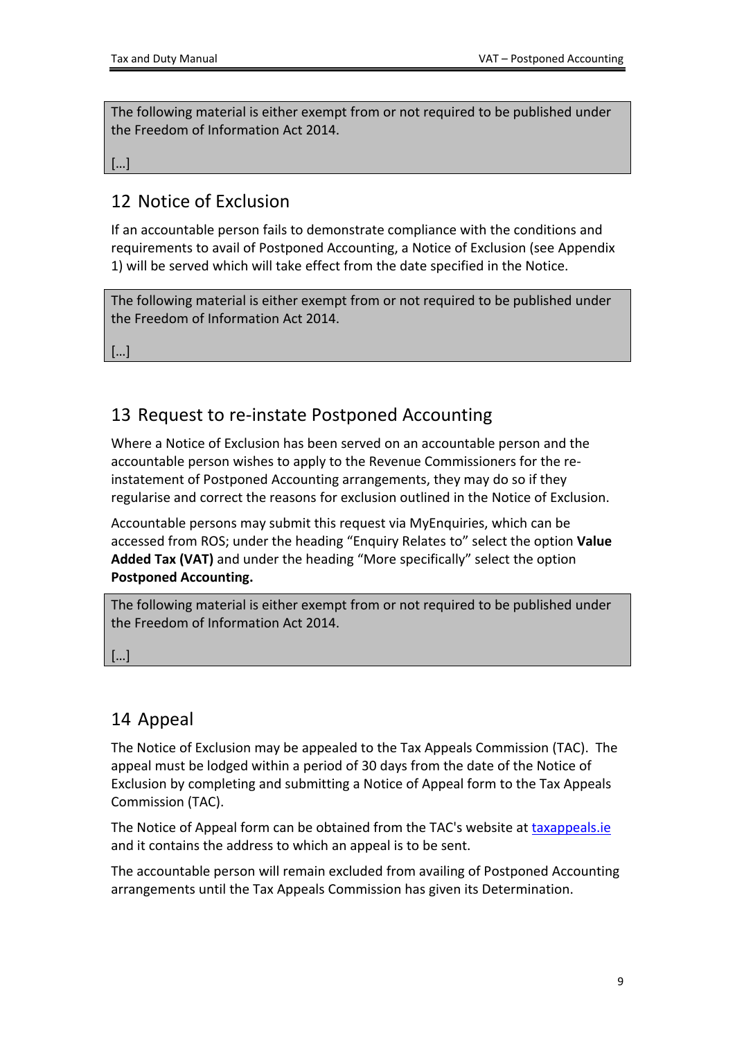[…]

## <span id="page-8-0"></span>12 Notice of Exclusion

If an accountable person fails to demonstrate compliance with the conditions and requirements to avail of Postponed Accounting, a Notice of Exclusion (see Appendix 1) will be served which will take effect from the date specified in the Notice.

The following material is either exempt from or not required to be published under the Freedom of Information Act 2014.

[…]

## <span id="page-8-1"></span>13 Request to re-instate Postponed Accounting

Where a Notice of Exclusion has been served on an accountable person and the accountable person wishes to apply to the Revenue Commissioners for the reinstatement of Postponed Accounting arrangements, they may do so if they regularise and correct the reasons for exclusion outlined in the Notice of Exclusion.

Accountable persons may submit this request via MyEnquiries, which can be accessed from ROS; under the heading "Enquiry Relates to" select the option **Value Added Tax (VAT)** and under the heading "More specifically" select the option **Postponed Accounting.**

The following material is either exempt from or not required to be published under the Freedom of Information Act 2014.

 $\lceil$ ...

## <span id="page-8-2"></span>14 Appeal

The Notice of Exclusion may be appealed to the Tax Appeals Commission (TAC). The appeal must be lodged within a period of 30 days from the date of the Notice of Exclusion by completing and submitting a Notice of Appeal form to the Tax Appeals Commission (TAC).

The Notice of Appeal form can be obtained from the TAC's website at [taxappeals.ie](https://www.taxappeals.ie/) and it contains the address to which an appeal is to be sent.

The accountable person will remain excluded from availing of Postponed Accounting arrangements until the Tax Appeals Commission has given its Determination.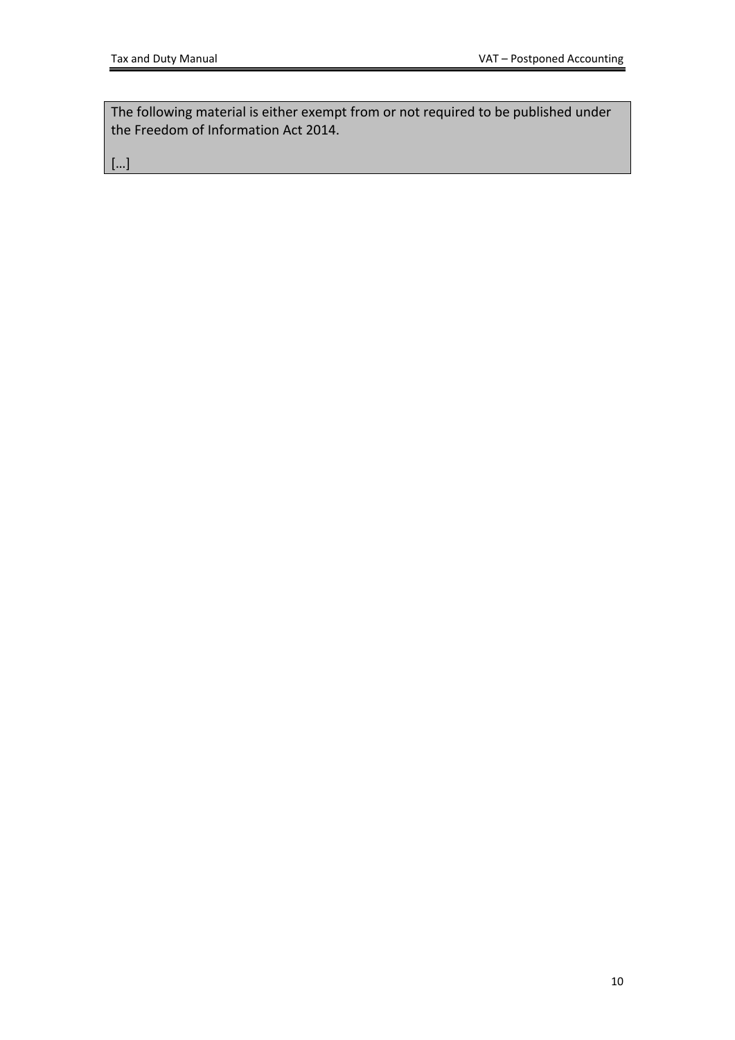[…]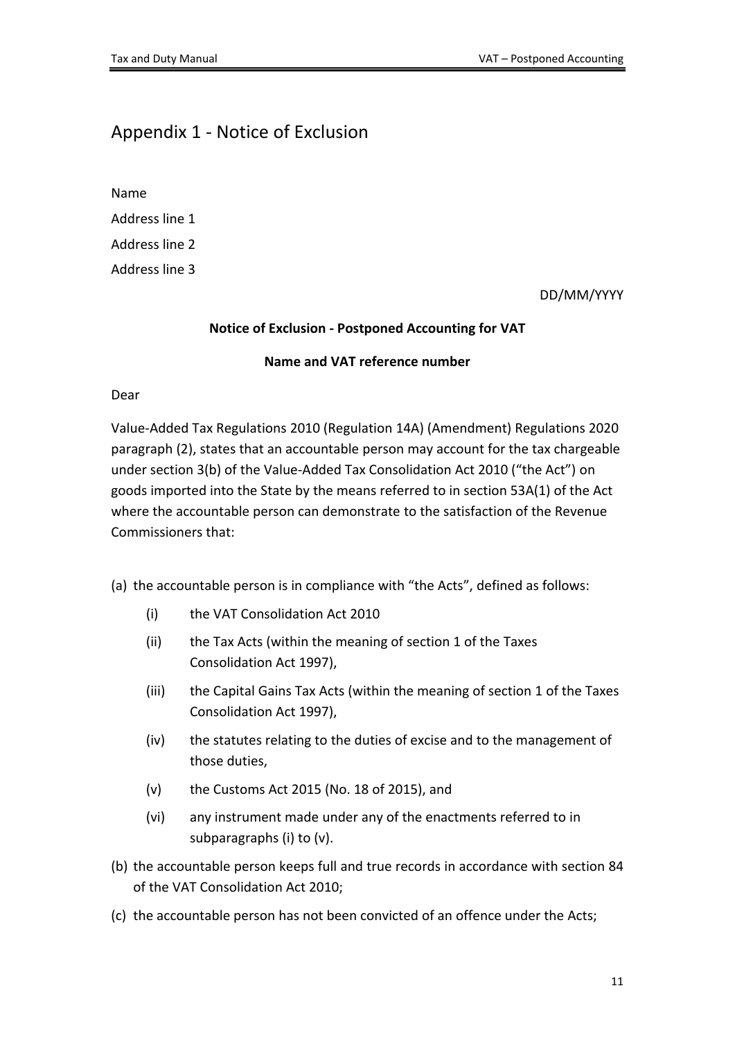#### <span id="page-10-0"></span>Appendix 1 - Notice of Exclusion

Name

Address line 1

Address line 2

Address line 3

DD/MM/YYYY

#### **Notice of Exclusion - Postponed Accounting for VAT**

#### **Name and VAT reference number**

Dear

Value-Added Tax Regulations 2010 (Regulation 14A) (Amendment) Regulations 2020 paragraph (2), states that an accountable person may account for the tax chargeable under section 3(b) of the Value-Added Tax Consolidation Act 2010 ("the Act") on goods imported into the State by the means referred to in section 53A(1) of the Act where the accountable person can demonstrate to the satisfaction of the Revenue Commissioners that:

(a) the accountable person is in compliance with "the Acts", defined as follows:

- (i) the VAT Consolidation Act 2010
- (ii) the Tax Acts (within the meaning of section 1 of the Taxes Consolidation Act 1997),
- (iii) the Capital Gains Tax Acts (within the meaning of section 1 of the Taxes Consolidation Act 1997),
- (iv) the statutes relating to the duties of excise and to the management of those duties,
- (v) the Customs Act 2015 (No. 18 of 2015), and
- (vi) any instrument made under any of the enactments referred to in subparagraphs (i) to (v).
- (b) the accountable person keeps full and true records in accordance with section 84 of the VAT Consolidation Act 2010;
- (c) the accountable person has not been convicted of an offence under the Acts;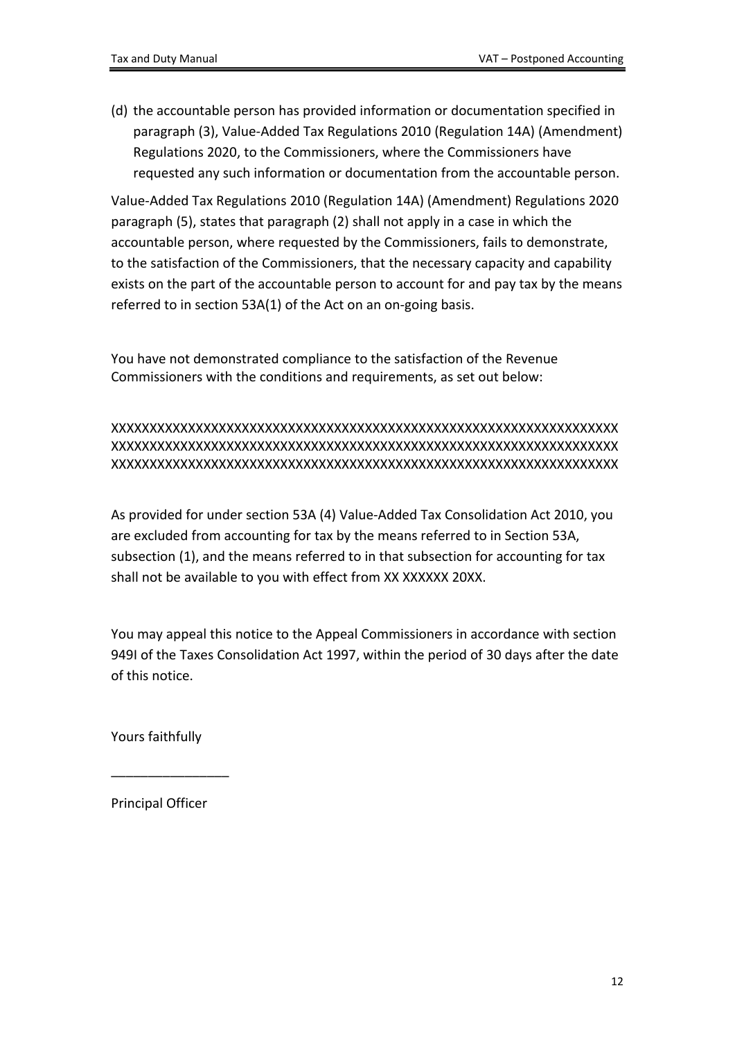(d) the accountable person has provided information or documentation specified in paragraph (3), Value-Added Tax Regulations 2010 (Regulation 14A) (Amendment) Regulations 2020, to the Commissioners, where the Commissioners have requested any such information or documentation from the accountable person.

Value-Added Tax Regulations 2010 (Regulation 14A) (Amendment) Regulations 2020 paragraph (5), states that paragraph (2) shall not apply in a case in which the accountable person, where requested by the Commissioners, fails to demonstrate, to the satisfaction of the Commissioners, that the necessary capacity and capability exists on the part of the accountable person to account for and pay tax by the means referred to in section 53A(1) of the Act on an on-going basis.

You have not demonstrated compliance to the satisfaction of the Revenue Commissioners with the conditions and requirements, as set out below:

#### XXXXXXXXXXXXXXXXXXXXXXXXXXXXXXXXXXXXXXXXXXXXXXXXXXXXXXXXXXXXXXXXXX XXXXXXXXXXXXXXXXXXXXXXXXXXXXXXXXXXXXXXXXXXXXXXXXXXXXXXXXXXXXXXXXXX XXXXXXXXXXXXXXXXXXXXXXXXXXXXXXXXXXXXXXXXXXXXXXXXXXXXXXXXXXXXXXXXXX

As provided for under section 53A (4) Value-Added Tax Consolidation Act 2010, you are excluded from accounting for tax by the means referred to in Section 53A, subsection (1), and the means referred to in that subsection for accounting for tax shall not be available to you with effect from XX XXXXXX 20XX.

You may appeal this notice to the Appeal Commissioners in accordance with section 949I of the Taxes Consolidation Act 1997, within the period of 30 days after the date of this notice.

Yours faithfully

Principal Officer

 $\overline{\phantom{a}}$  , we can also the contract of  $\overline{\phantom{a}}$